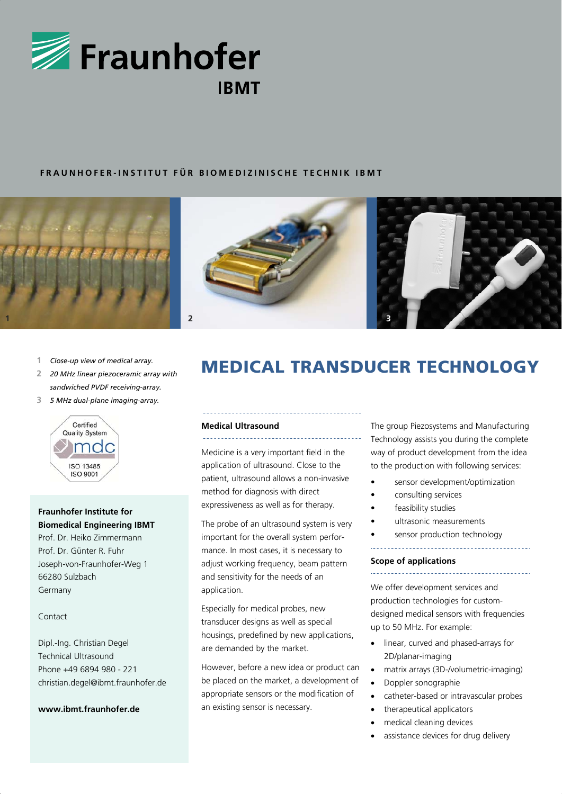

# **FRAUNHOFER-INSTITUT FÜR BIOMEDIZINISCHE TECHNIK IBMT**





- **1** *Close-up view of medical array.*
- **2** *20 MHz linear piezoceramic array with sandwiched PVDF receiving-array.*
- **3** *5 MHz dual-plane imaging-array.*



# **Fraunhofer Institute for Biomedical Engineering IBMT**

Prof. Dr. Heiko Zimmermann Prof. Dr. Günter R. Fuhr Joseph-von-Fraunhofer-Weg 1 66280 Sulzbach Germany

### Contact

Dipl.-Ing. Christian Degel Technical Ultrasound Phone +49 6894 980 - 221 christian.degel@ibmt.fraunhofer.de

### **www.ibmt.fraunhofer.de**

# MEDICAL TRANSDUCER TECHNOLOGY

#### **Medical Ultrasound**  \_\_\_\_\_\_\_\_\_\_\_\_\_\_\_\_\_\_\_\_

Medicine is a very important field in the application of ultrasound. Close to the patient, ultrasound allows a non-invasive method for diagnosis with direct expressiveness as well as for therapy.

The probe of an ultrasound system is very important for the overall system performance. In most cases, it is necessary to adjust working frequency, beam pattern and sensitivity for the needs of an application.

Especially for medical probes, new transducer designs as well as special housings, predefined by new applications, are demanded by the market.

However, before a new idea or product can be placed on the market, a development of appropriate sensors or the modification of an existing sensor is necessary.

The group Piezosystems and Manufacturing Technology assists you during the complete way of product development from the idea to the production with following services:

- sensor development/optimization
- consulting services
- feasibility studies
- ultrasonic measurements

sensor production technology

### **Scope of applications**

We offer development services and production technologies for customdesigned medical sensors with frequencies up to 50 MHz. For example:

- linear, curved and phased-arrays for 2D/planar-imaging
- matrix arrays (3D-/volumetric-imaging)
- Doppler sonographie
- catheter-based or intravascular probes
- therapeutical applicators
- medical cleaning devices
- assistance devices for drug delivery